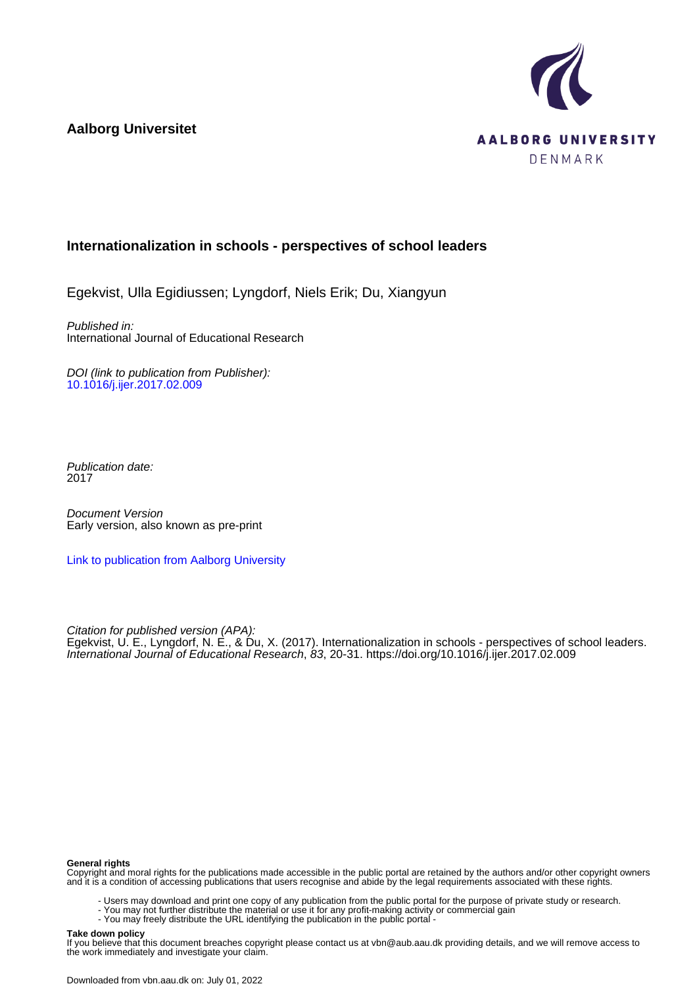**Aalborg Universitet**



# **Internationalization in schools - perspectives of school leaders**

Egekvist, Ulla Egidiussen; Lyngdorf, Niels Erik; Du, Xiangyun

Published in: International Journal of Educational Research

DOI (link to publication from Publisher): [10.1016/j.ijer.2017.02.009](https://doi.org/10.1016/j.ijer.2017.02.009)

Publication date: 2017

Document Version Early version, also known as pre-print

[Link to publication from Aalborg University](https://vbn.aau.dk/en/publications/03c55114-a9be-4554-89b4-3d8db456febb)

Citation for published version (APA): Egekvist, U. E., Lyngdorf, N. E., & Du, X. (2017). Internationalization in schools - perspectives of school leaders. International Journal of Educational Research, 83, 20-31. <https://doi.org/10.1016/j.ijer.2017.02.009>

#### **General rights**

Copyright and moral rights for the publications made accessible in the public portal are retained by the authors and/or other copyright owners and it is a condition of accessing publications that users recognise and abide by the legal requirements associated with these rights.

- Users may download and print one copy of any publication from the public portal for the purpose of private study or research.
- You may not further distribute the material or use it for any profit-making activity or commercial gain
- You may freely distribute the URL identifying the publication in the public portal -

#### **Take down policy**

If you believe that this document breaches copyright please contact us at vbn@aub.aau.dk providing details, and we will remove access to the work immediately and investigate your claim.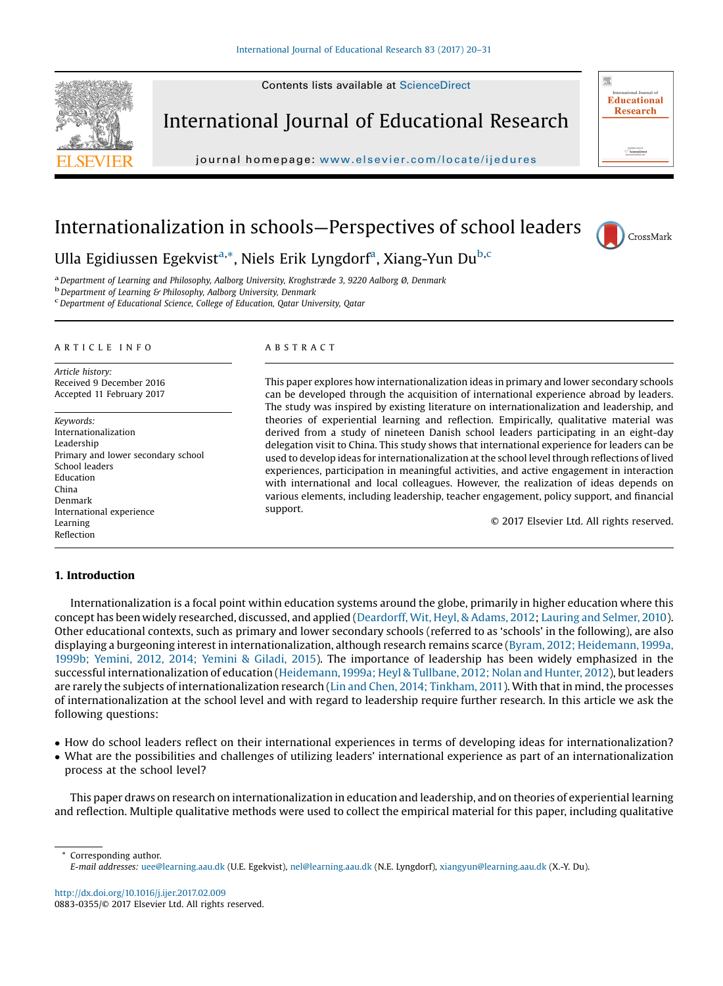Contents lists available at [ScienceDirect](http://www.sciencedirect.com/science/journal/08830355)



International Journal of Educational Research

journal homepage: <www.elsevier.com/locate/ijedures>



# Internationalization in schools—Perspectives of school leaders



Ulla Egidiussen Egekvist<sup>a,\*</sup>, Niels Erik Lyngdorf<sup>a</sup>, Xiang-Yun Du<sup>b,c</sup>

<sup>a</sup> Department of Learning and Philosophy, Aalborg University, Kroghstræde 3, 9220 Aalborg Ø, Denmark<br><sup>b</sup> Department of Learning & Philosophy, Aalborg University, Denmark

Department of Educational Science, College of Education, Qatar University, Qatar

#### A R T I C I E I N E O

Article history: Received 9 December 2016 Accepted 11 February 2017

Keywords: Internationalization Leadership Primary and lower secondary school School leaders Education China Denmark International experience Learning Reflection

# A B S T R A C T

This paper explores how internationalization ideas in primary and lower secondary schools can be developed through the acquisition of international experience abroad by leaders. The study was inspired by existing literature on internationalization and leadership, and theories of experiential learning and reflection. Empirically, qualitative material was derived from a study of nineteen Danish school leaders participating in an eight-day delegation visit to China. This study shows that international experience for leaders can be used to develop ideas for internationalization at the school level through reflections of lived experiences, participation in meaningful activities, and active engagement in interaction with international and local colleagues. However, the realization of ideas depends on various elements, including leadership, teacher engagement, policy support, and financial support.

© 2017 Elsevier Ltd. All rights reserved.

# 1. Introduction

Internationalization is a focal point within education systems around the globe, primarily in higher education where this concept has been widely researched, discussed, and applied ([Deardorff,](#page-11-0) Wit, Heyl, & Adams, 2012; [Lauring](#page-12-0) and Selmer, 2010). Other educational contexts, such as primary and lower secondary schools (referred to as 'schools' in the following), are also displaying a burgeoning interest in internationalization, although research remains scarce (Byram, 2012; Heidemann, 1999a, 1999b; [Yemini,](#page-11-0) 2012, 2014; Yemini & Giladi, 2015). The importance of leadership has been widely emphasized in the successful internationalization of education [\(Heidemann,1999a;](#page-11-0) Heyl & Tullbane, 2012; Nolan and Hunter, 2012), butleaders are rarely the subjects of internationalization research (Lin and Chen, 2014; [Tinkham,](#page-12-0) 2011). With that in mind, the processes of internationalization at the school level and with regard to leadership require further research. In this article we ask the following questions:

- How do school leaders reflect on their international experiences in terms of developing ideas for internationalization?
- What are the possibilities and challenges of utilizing leaders' international experience as part of an internationalization process at the school level?

This paper draws on research on internationalization in education and leadership, and on theories of experiential learning and reflection. Multiple qualitative methods were used to collect the empirical material for this paper, including qualitative

\* Corresponding author.

<http://dx.doi.org/10.1016/j.ijer.2017.02.009> 0883-0355/© 2017 Elsevier Ltd. All rights reserved.

E-mail addresses: [uee@learning.aau.dk](mailto:uee@learning.aau.dk) (U.E. Egekvist), [nel@learning.aau.dk](mailto:nel@learning.aau.dk) (N.E. Lyngdorf), [xiangyun@learning.aau.dk](mailto:xiangyun@learning.aau.dk) (X.-Y. Du).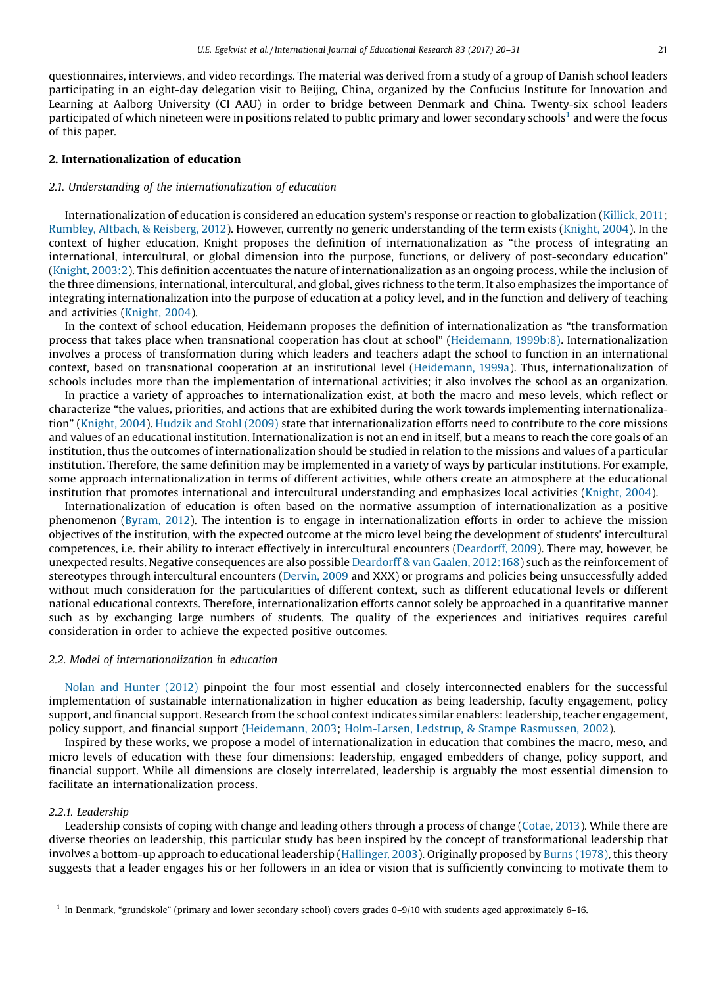questionnaires, interviews, and video recordings. The material was derived from a study of a group of Danish school leaders participating in an eight-day delegation visit to Beijing, China, organized by the Confucius Institute for Innovation and Learning at Aalborg University (CI AAU) in order to bridge between Denmark and China. Twenty-six school leaders participated of which nineteen were in positions related to public primary and lower secondary schools<sup>1</sup> and were the focus of this paper.

# 2. Internationalization of education

# 2.1. Understanding of the internationalization of education

Internationalization of education is considered an education system's response or reaction to globalization [\(Killick,](#page-12-0) 2011; [Rumbley,](#page-12-0) Altbach, & Reisberg, 2012). However, currently no generic understanding of the term exists ([Knight,](#page-12-0) 2004). In the context of higher education, Knight proposes the definition of internationalization as "the process of integrating an international, intercultural, or global dimension into the purpose, functions, or delivery of post-secondary education" ([Knight,](#page-12-0) 2003:2). This definition accentuates the nature of internationalization as an ongoing process, while the inclusion of the three dimensions, international, intercultural, and global, gives richness to the term. It also emphasizes the importance of integrating internationalization into the purpose of education at a policy level, and in the function and delivery of teaching and activities [\(Knight,](#page-12-0) 2004).

In the context of school education, Heidemann proposes the definition of internationalization as "the transformation process that takes place when transnational cooperation has clout at school" ([Heidemann,](#page-11-0) 1999b:8). Internationalization involves a process of transformation during which leaders and teachers adapt the school to function in an international context, based on transnational cooperation at an institutional level ([Heidemann,](#page-11-0) 1999a). Thus, internationalization of schools includes more than the implementation of international activities; it also involves the school as an organization.

In practice a variety of approaches to internationalization exist, at both the macro and meso levels, which reflect or characterize "the values, priorities, and actions that are exhibited during the work towards implementing internationalization" ([Knight,](#page-12-0) 2004). [Hudzik](#page-12-0) and Stohl (2009) state that internationalization efforts need to contribute to the core missions and values of an educational institution. Internationalization is not an end in itself, but a means to reach the core goals of an institution, thus the outcomes of internationalization should be studied in relation to the missions and values of a particular institution. Therefore, the same definition may be implemented in a variety of ways by particular institutions. For example, some approach internationalization in terms of different activities, while others create an atmosphere at the educational institution that promotes international and intercultural understanding and emphasizes local activities ([Knight,](#page-12-0) 2004).

Internationalization of education is often based on the normative assumption of internationalization as a positive phenomenon [\(Byram,](#page-11-0) 2012). The intention is to engage in internationalization efforts in order to achieve the mission objectives of the institution, with the expected outcome at the micro level being the development of students' intercultural competences, i.e. their ability to interact effectively in intercultural encounters [\(Deardorff,](#page-11-0) 2009). There may, however, be unexpected results. Negative consequences are also possible [Deardorff](#page-11-0) & van Gaalen, 2012:168) such as the reinforcement of stereotypes through intercultural encounters [\(Dervin,](#page-11-0) 2009 and XXX) or programs and policies being unsuccessfully added without much consideration for the particularities of different context, such as different educational levels or different national educational contexts. Therefore, internationalization efforts cannot solely be approached in a quantitative manner such as by exchanging large numbers of students. The quality of the experiences and initiatives requires careful consideration in order to achieve the expected positive outcomes.

#### 2.2. Model of internationalization in education

Nolan and [Hunter](#page-12-0) (2012) pinpoint the four most essential and closely interconnected enablers for the successful implementation of sustainable internationalization in higher education as being leadership, faculty engagement, policy support, and financial support. Research from the school context indicates similar enablers: leadership, teacher engagement, policy support, and financial support [\(Heidemann,](#page-11-0) 2003; [Holm-Larsen,](#page-12-0) Ledstrup, & Stampe Rasmussen, 2002).

Inspired by these works, we propose a model of internationalization in education that combines the macro, meso, and micro levels of education with these four dimensions: leadership, engaged embedders of change, policy support, and financial support. While all dimensions are closely interrelated, leadership is arguably the most essential dimension to facilitate an internationalization process.

## 2.2.1. Leadership

Leadership consists of coping with change and leading others through a process of change [\(Cotae,](#page-11-0) 2013). While there are diverse theories on leadership, this particular study has been inspired by the concept of transformational leadership that involves a bottom-up approach to educational leadership ([Hallinger,](#page-11-0) 2003). Originally proposed by Burns [\(1978\)](#page-11-0), this theory suggests that a leader engages his or her followers in an idea or vision that is sufficiently convincing to motivate them to

<sup>1</sup> In Denmark, "grundskole" (primary and lower secondary school) covers grades 0–9/10 with students aged approximately 6–16.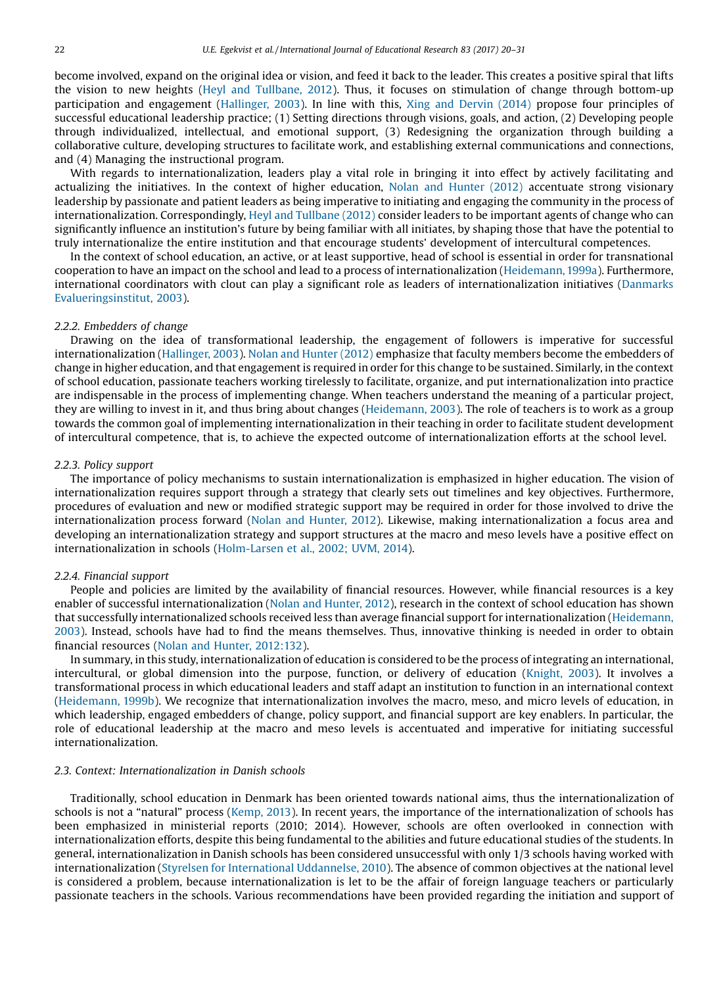<span id="page-3-0"></span>become involved, expand on the original idea or vision, and feed it back to the leader. This creates a positive spiral that lifts the vision to new heights (Heyl and [Tullbane,](#page-11-0) 2012). Thus, it focuses on stimulation of change through bottom-up participation and engagement [\(Hallinger,](#page-11-0) 2003). In line with this, Xing and [Dervin](#page-12-0) (2014) propose four principles of successful educational leadership practice; (1) Setting directions through visions, goals, and action, (2) Developing people through individualized, intellectual, and emotional support, (3) Redesigning the organization through building a collaborative culture, developing structures to facilitate work, and establishing external communications and connections, and (4) Managing the instructional program.

With regards to internationalization, leaders play a vital role in bringing it into effect by actively facilitating and actualizing the initiatives. In the context of higher education, Nolan and [Hunter](#page-12-0) (2012) accentuate strong visionary leadership by passionate and patient leaders as being imperative to initiating and engaging the community in the process of internationalization. Correspondingly, Heyl and [Tullbane](#page-11-0) (2012) consider leaders to be important agents of change who can significantly influence an institution's future by being familiar with all initiates, by shaping those that have the potential to truly internationalize the entire institution and that encourage students' development of intercultural competences.

In the context of school education, an active, or at least supportive, head of school is essential in order for transnational cooperation to have an impact on the school and lead to a process of internationalization (Heidemann, 1999a). Furthermore, international coordinators with clout can play a significant role as leaders of internationalization initiatives [\(Danmarks](#page-11-0) [Evalueringsinstitut,](#page-11-0) 2003).

#### 2.2.2. Embedders of change

Drawing on the idea of transformational leadership, the engagement of followers is imperative for successful internationalization ([Hallinger,](#page-11-0) 2003). Nolan and [Hunter](#page-12-0) (2012) emphasize that faculty members become the embedders of change in higher education, and that engagement is required in order for this change to be sustained. Similarly, in the context of school education, passionate teachers working tirelessly to facilitate, organize, and put internationalization into practice are indispensable in the process of implementing change. When teachers understand the meaning of a particular project, they are willing to invest in it, and thus bring about changes [\(Heidemann,](#page-11-0) 2003). The role of teachers is to work as a group towards the common goal of implementing internationalization in their teaching in order to facilitate student development of intercultural competence, that is, to achieve the expected outcome of internationalization efforts at the school level.

#### 2.2.3. Policy support

The importance of policy mechanisms to sustain internationalization is emphasized in higher education. The vision of internationalization requires support through a strategy that clearly sets out timelines and key objectives. Furthermore, procedures of evaluation and new or modified strategic support may be required in order for those involved to drive the internationalization process forward (Nolan and [Hunter,](#page-12-0) 2012). Likewise, making internationalization a focus area and developing an internationalization strategy and support structures at the macro and meso levels have a positive effect on internationalization in schools [\(Holm-Larsen](#page-12-0) et al., 2002; UVM, 2014).

# 2.2.4. Financial support

People and policies are limited by the availability of financial resources. However, while financial resources is a key enabler of successful internationalization (Nolan and [Hunter,](#page-12-0) 2012), research in the context of school education has shown that successfully internationalized schools received less than average financial support for internationalization [\(Heidemann,](#page-11-0) [2003\)](#page-11-0). Instead, schools have had to find the means themselves. Thus, innovative thinking is needed in order to obtain financial resources (Nolan and Hunter, [2012:132\)](#page-12-0).

In summary, in this study, internationalization of education is considered to be the process of integrating an international, intercultural, or global dimension into the purpose, function, or delivery of education ([Knight,](#page-12-0) 2003). It involves a transformational process in which educational leaders and staff adapt an institution to function in an international context [\(Heidemann,](#page-11-0) 1999b). We recognize that internationalization involves the macro, meso, and micro levels of education, in which leadership, engaged embedders of change, policy support, and financial support are key enablers. In particular, the role of educational leadership at the macro and meso levels is accentuated and imperative for initiating successful internationalization.

# 2.3. Context: Internationalization in Danish schools

Traditionally, school education in Denmark has been oriented towards national aims, thus the internationalization of schools is not a "natural" process [\(Kemp,](#page-12-0) 2013). In recent years, the importance of the internationalization of schools has been emphasized in ministerial reports (2010; 2014). However, schools are often overlooked in connection with internationalization efforts, despite this being fundamental to the abilities and future educational studies of the students. In general, internationalization in Danish schools has been considered unsuccessful with only 1/3 schools having worked with internationalization (Styrelsen for [International](#page-12-0) Uddannelse, 2010). The absence of common objectives at the national level is considered a problem, because internationalization is let to be the affair of foreign language teachers or particularly passionate teachers in the schools. Various recommendations have been provided regarding the initiation and support of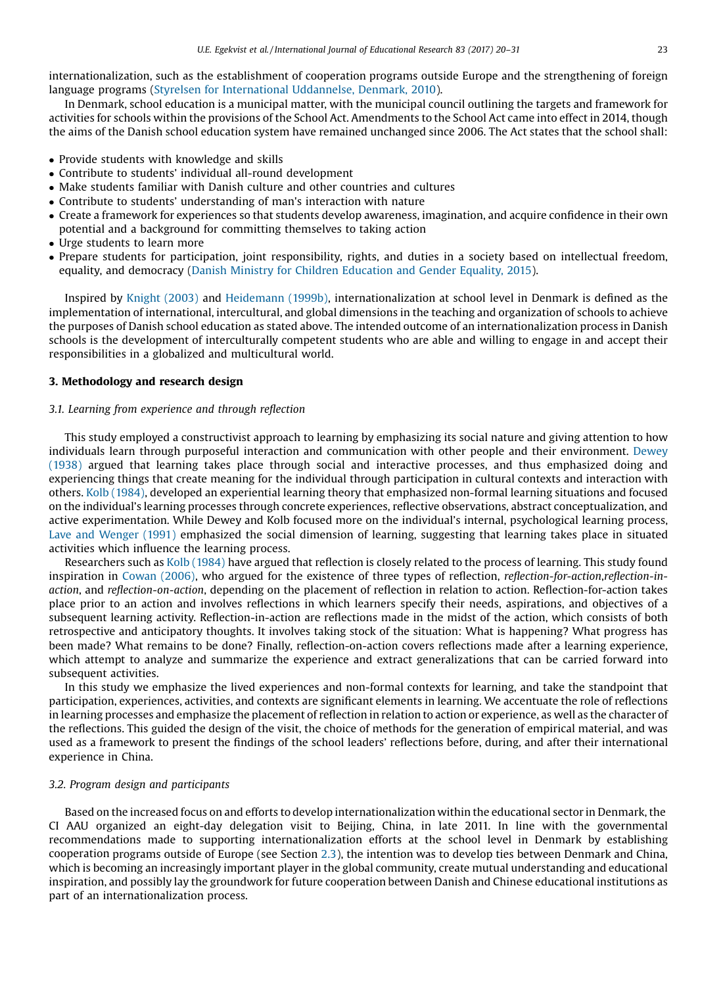internationalization, such as the establishment of cooperation programs outside Europe and the strengthening of foreign language programs (Styrelsen for [International](#page-12-0) Uddannelse, Denmark, 2010).

In Denmark, school education is a municipal matter, with the municipal council outlining the targets and framework for activities for schools within the provisions of the School Act. Amendments to the School Act came into effect in 2014, though the aims of the Danish school education system have remained unchanged since 2006. The Act states that the school shall:

- Provide students with knowledge and skills
- Contribute to students' individual all-round development
- Make students familiar with Danish culture and other countries and cultures
- Contribute to students' understanding of man's interaction with nature
- Create <sup>a</sup> framework for experiences so that students develop awareness, imagination, and acquire confidence in their own potential and a background for committing themselves to taking action
- Urge students to learn more
- Prepare students for participation, joint responsibility, rights, and duties in a society based on intellectual freedom, equality, and democracy (Danish Ministry for Children [Education](#page-11-0) and Gender Equality, 2015).

Inspired by [Knight](#page-12-0) (2003) and [Heidemann](#page-11-0) (1999b), internationalization at school level in Denmark is defined as the implementation of international, intercultural, and global dimensions in the teaching and organization of schools to achieve the purposes of Danish school education as stated above. The intended outcome of an internationalization process in Danish schools is the development of interculturally competent students who are able and willing to engage in and accept their responsibilities in a globalized and multicultural world.

# 3. Methodology and research design

# 3.1. Learning from experience and through reflection

This study employed a constructivist approach to learning by emphasizing its social nature and giving attention to how individuals learn through purposeful interaction and communication with other people and their environment. [Dewey](#page-11-0) [\(1938\)](#page-11-0) argued that learning takes place through social and interactive processes, and thus emphasized doing and experiencing things that create meaning for the individual through participation in cultural contexts and interaction with others. Kolb [\(1984\)](#page-12-0), developed an experiential learning theory that emphasized non-formal learning situations and focused on the individual's learning processes through concrete experiences, reflective observations, abstract conceptualization, and active experimentation. While Dewey and Kolb focused more on the individual's internal, psychological learning process, Lave and [Wenger](#page-12-0) (1991) emphasized the social dimension of learning, suggesting that learning takes place in situated activities which influence the learning process.

Researchers such as Kolb [\(1984\)](#page-12-0) have argued that reflection is closely related to the process of learning. This study found inspiration in Cowan [\(2006\)](#page-11-0), who argued for the existence of three types of reflection, reflection-for-action,reflection-inaction, and reflection-on-action, depending on the placement of reflection in relation to action. Reflection-for-action takes place prior to an action and involves reflections in which learners specify their needs, aspirations, and objectives of a subsequent learning activity. Reflection-in-action are reflections made in the midst of the action, which consists of both retrospective and anticipatory thoughts. It involves taking stock of the situation: What is happening? What progress has been made? What remains to be done? Finally, reflection-on-action covers reflections made after a learning experience, which attempt to analyze and summarize the experience and extract generalizations that can be carried forward into subsequent activities.

In this study we emphasize the lived experiences and non-formal contexts for learning, and take the standpoint that participation, experiences, activities, and contexts are significant elements in learning. We accentuate the role of reflections in learning processes and emphasize the placement of reflection in relation to action or experience, as well as the character of the reflections. This guided the design of the visit, the choice of methods for the generation of empirical material, and was used as a framework to present the findings of the school leaders' reflections before, during, and after their international experience in China.

# 3.2. Program design and participants

Based on the increased focus on and efforts to develop internationalization within the educational sector in Denmark, the CI AAU organized an eight-day delegation visit to Beijing, China, in late 2011. In line with the governmental recommendations made to supporting internationalization efforts at the school level in Denmark by establishing cooperation programs outside of Europe (see Section [2.3](#page-3-0)), the intention was to develop ties between Denmark and China, which is becoming an increasingly important player in the global community, create mutual understanding and educational inspiration, and possibly lay the groundwork for future cooperation between Danish and Chinese educational institutions as part of an internationalization process.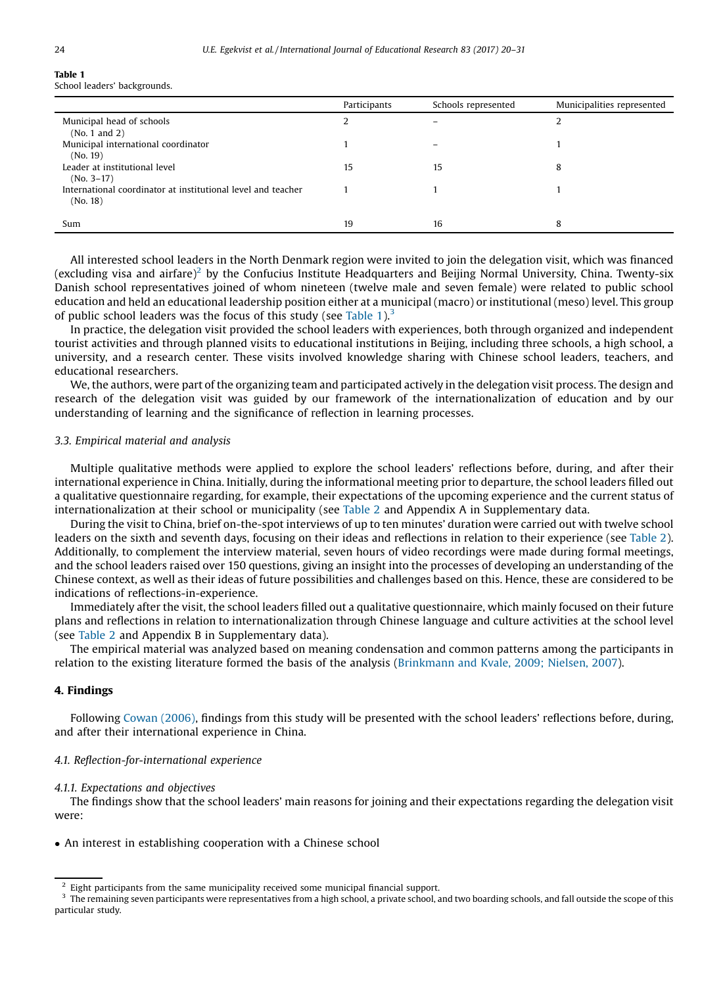| Table 1                      |  |
|------------------------------|--|
| School leaders' backgrounds. |  |

|                                                              | Participants | Schools represented | Municipalities represented |
|--------------------------------------------------------------|--------------|---------------------|----------------------------|
| Municipal head of schools                                    |              |                     |                            |
| (No. 1 and 2)                                                |              |                     |                            |
| Municipal international coordinator                          |              |                     |                            |
| (No. 19)                                                     |              |                     |                            |
| Leader at institutional level                                | 15           | 15                  | 8                          |
| $(No. 3-17)$                                                 |              |                     |                            |
| International coordinator at institutional level and teacher |              |                     |                            |
| (No. 18)                                                     |              |                     |                            |
|                                                              |              |                     |                            |
| Sum                                                          | 19           | 16                  | 8                          |

All interested school leaders in the North Denmark region were invited to join the delegation visit, which was financed (excluding visa and airfare)<sup>2</sup> by the Confucius Institute Headquarters and Beijing Normal University, China. Twenty-six Danish school representatives joined of whom nineteen (twelve male and seven female) were related to public school education and held an educational leadership position either at a municipal (macro) or institutional (meso) level. This group of public school leaders was the focus of this study (see Table  $1$ ).<sup>3</sup>

In practice, the delegation visit provided the school leaders with experiences, both through organized and independent tourist activities and through planned visits to educational institutions in Beijing, including three schools, a high school, a university, and a research center. These visits involved knowledge sharing with Chinese school leaders, teachers, and educational researchers.

We, the authors, were part of the organizing team and participated actively in the delegation visit process. The design and research of the delegation visit was guided by our framework of the internationalization of education and by our understanding of learning and the significance of reflection in learning processes.

# 3.3. Empirical material and analysis

Multiple qualitative methods were applied to explore the school leaders' reflections before, during, and after their international experience in China. Initially, during the informational meeting prior to departure, the school leaders filled out a qualitative questionnaire regarding, for example, their expectations of the upcoming experience and the current status of internationalization at their school or municipality (see [Table](#page-6-0) 2 and Appendix A in Supplementary data.

During the visit to China, brief on-the-spot interviews of up to ten minutes' duration were carried out with twelve school leaders on the sixth and seventh days, focusing on their ideas and reflections in relation to their experience (see [Table](#page-6-0) 2). Additionally, to complement the interview material, seven hours of video recordings were made during formal meetings, and the school leaders raised over 150 questions, giving an insight into the processes of developing an understanding of the Chinese context, as well as their ideas of future possibilities and challenges based on this. Hence, these are considered to be indications of reflections-in-experience.

Immediately after the visit, the school leaders filled out a qualitative questionnaire, which mainly focused on their future plans and reflections in relation to internationalization through Chinese language and culture activities at the school level (see [Table](#page-6-0) 2 and Appendix B in Supplementary data).

The empirical material was analyzed based on meaning condensation and common patterns among the participants in relation to the existing literature formed the basis of the analysis ([Brinkmann](#page-11-0) and Kvale, 2009; Nielsen, 2007).

# 4. Findings

Following [Cowan](#page-11-0) (2006), findings from this study will be presented with the school leaders' reflections before, during, and after their international experience in China.

# 4.1. Reflection-for-international experience

# 4.1.1. Expectations and objectives

The findings show that the school leaders' main reasons for joining and their expectations regarding the delegation visit were:

An interest in establishing cooperation with a Chinese school

<sup>2</sup> Eight participants from the same municipality received some municipal financial support.

<sup>&</sup>lt;sup>3</sup> The remaining seven participants were representatives from a high school, a private school, and two boarding schools, and fall outside the scope of this particular study.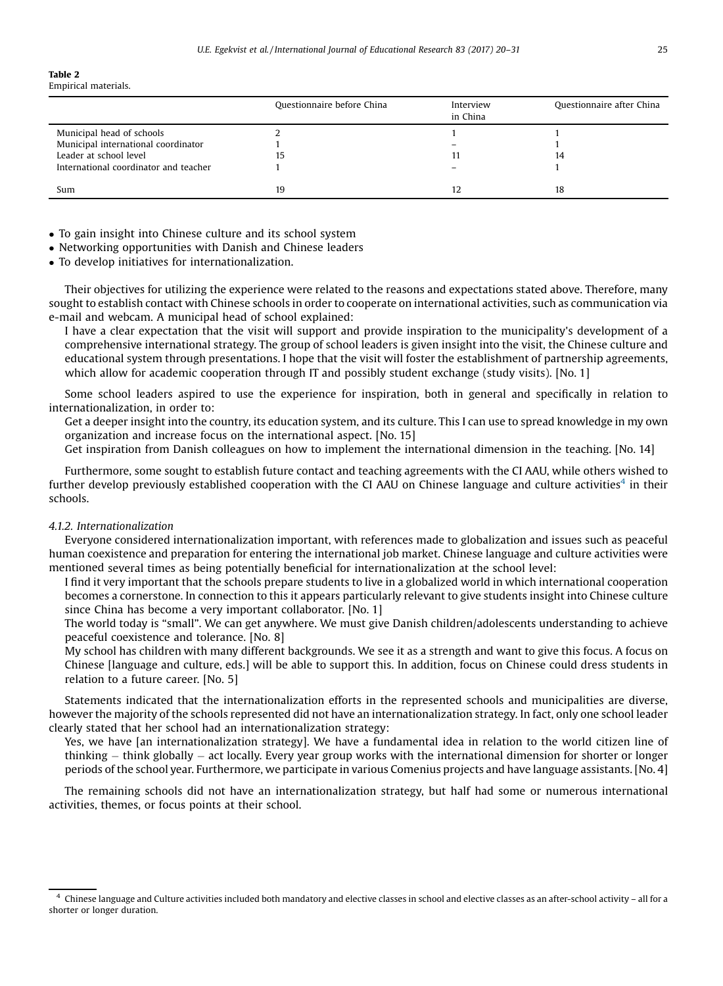#### <span id="page-6-0"></span>Table 2 Empirical materials.

|                                       | Questionnaire before China | Interview<br>in China | Questionnaire after China |
|---------------------------------------|----------------------------|-----------------------|---------------------------|
| Municipal head of schools             |                            |                       |                           |
| Municipal international coordinator   |                            |                       |                           |
| Leader at school level                | 15                         |                       | 14                        |
| International coordinator and teacher |                            |                       |                           |
| Sum                                   | 19                         | 12                    | 18                        |

To gain insight into Chinese culture and its school system

- Networking opportunities with Danish and Chinese leaders
- To develop initiatives for internationalization.

Their objectives for utilizing the experience were related to the reasons and expectations stated above. Therefore, many sought to establish contact with Chinese schools in order to cooperate on international activities, such as communication via e-mail and webcam. A municipal head of school explained:

I have a clear expectation that the visit will support and provide inspiration to the municipality's development of a comprehensive international strategy. The group of school leaders is given insight into the visit, the Chinese culture and educational system through presentations. I hope that the visit will foster the establishment of partnership agreements, which allow for academic cooperation through IT and possibly student exchange (study visits). [No. 1]

Some school leaders aspired to use the experience for inspiration, both in general and specifically in relation to internationalization, in order to:

Get a deeper insight into the country, its education system, and its culture. This I can use to spread knowledge in my own organization and increase focus on the international aspect. [No. 15]

Get inspiration from Danish colleagues on how to implement the international dimension in the teaching. [No. 14]

Furthermore, some sought to establish future contact and teaching agreements with the CI AAU, while others wished to further develop previously established cooperation with the CI AAU on Chinese language and culture activities<sup>4</sup> in their schools.

# 4.1.2. Internationalization

Everyone considered internationalization important, with references made to globalization and issues such as peaceful human coexistence and preparation for entering the international job market. Chinese language and culture activities were mentioned several times as being potentially beneficial for internationalization at the school level:

I find it very important that the schools prepare students to live in a globalized world in which international cooperation becomes a cornerstone. In connection to this it appears particularly relevant to give students insight into Chinese culture since China has become a very important collaborator. [No. 1]

The world today is "small". We can get anywhere. We must give Danish children/adolescents understanding to achieve peaceful coexistence and tolerance. [No. 8]

My school has children with many different backgrounds. We see it as a strength and want to give this focus. A focus on Chinese [language and culture, eds.] will be able to support this. In addition, focus on Chinese could dress students in relation to a future career. [No. 5]

Statements indicated that the internationalization efforts in the represented schools and municipalities are diverse, however the majority of the schools represented did not have an internationalization strategy. In fact, only one school leader clearly stated that her school had an internationalization strategy:

Yes, we have [an internationalization strategy]. We have a fundamental idea in relation to the world citizen line of thinking  $-$  think globally  $-$  act locally. Every year group works with the international dimension for shorter or longer periods of the school year. Furthermore, we participate in various Comenius projects and have language assistants. [No. 4]

The remaining schools did not have an internationalization strategy, but half had some or numerous international activities, themes, or focus points at their school.

<sup>4</sup> Chinese language and Culture activities included both mandatory and elective classes in school and elective classes as an after-school activity – all for a shorter or longer duration.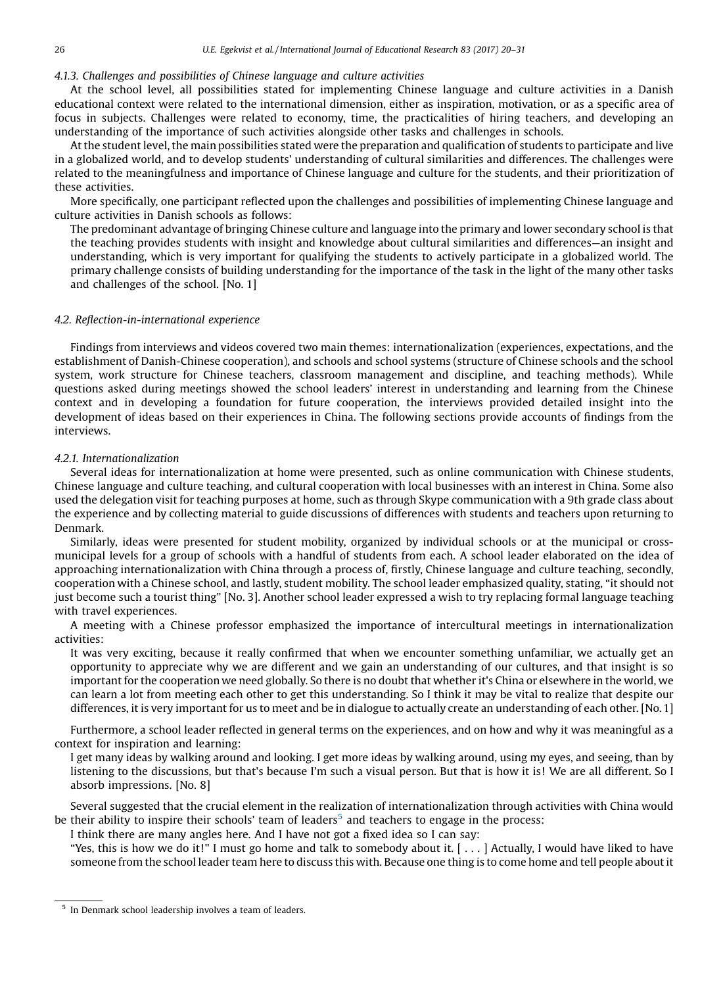#### 4.1.3. Challenges and possibilities of Chinese language and culture activities

At the school level, all possibilities stated for implementing Chinese language and culture activities in a Danish educational context were related to the international dimension, either as inspiration, motivation, or as a specific area of focus in subjects. Challenges were related to economy, time, the practicalities of hiring teachers, and developing an understanding of the importance of such activities alongside other tasks and challenges in schools.

At the student level, the main possibilities stated were the preparation and qualification of students to participate and live in a globalized world, and to develop students' understanding of cultural similarities and differences. The challenges were related to the meaningfulness and importance of Chinese language and culture for the students, and their prioritization of these activities.

More specifically, one participant reflected upon the challenges and possibilities of implementing Chinese language and culture activities in Danish schools as follows:

The predominant advantage of bringing Chinese culture and language into the primary and lower secondary school is that the teaching provides students with insight and knowledge about cultural similarities and differences—an insight and understanding, which is very important for qualifying the students to actively participate in a globalized world. The primary challenge consists of building understanding for the importance of the task in the light of the many other tasks and challenges of the school. [No. 1]

#### 4.2. Reflection-in-international experience

Findings from interviews and videos covered two main themes: internationalization (experiences, expectations, and the establishment of Danish-Chinese cooperation), and schools and school systems (structure of Chinese schools and the school system, work structure for Chinese teachers, classroom management and discipline, and teaching methods). While questions asked during meetings showed the school leaders' interest in understanding and learning from the Chinese context and in developing a foundation for future cooperation, the interviews provided detailed insight into the development of ideas based on their experiences in China. The following sections provide accounts of findings from the interviews.

# 4.2.1. Internationalization

Several ideas for internationalization at home were presented, such as online communication with Chinese students, Chinese language and culture teaching, and cultural cooperation with local businesses with an interest in China. Some also used the delegation visit for teaching purposes at home, such as through Skype communication with a 9th grade class about the experience and by collecting material to guide discussions of differences with students and teachers upon returning to Denmark.

Similarly, ideas were presented for student mobility, organized by individual schools or at the municipal or crossmunicipal levels for a group of schools with a handful of students from each. A school leader elaborated on the idea of approaching internationalization with China through a process of, firstly, Chinese language and culture teaching, secondly, cooperation with a Chinese school, and lastly, student mobility. The school leader emphasized quality, stating, "it should not just become such a tourist thing" [No. 3]. Another school leader expressed a wish to try replacing formal language teaching with travel experiences.

A meeting with a Chinese professor emphasized the importance of intercultural meetings in internationalization activities:

It was very exciting, because it really confirmed that when we encounter something unfamiliar, we actually get an opportunity to appreciate why we are different and we gain an understanding of our cultures, and that insight is so important for the cooperation we need globally. So there is no doubt that whether it's China or elsewhere in the world, we can learn a lot from meeting each other to get this understanding. So I think it may be vital to realize that despite our differences, it is very important for us to meet and be in dialogue to actually create an understanding of each other. [No.1]

Furthermore, a school leader reflected in general terms on the experiences, and on how and why it was meaningful as a context for inspiration and learning:

I get many ideas by walking around and looking. I get more ideas by walking around, using my eyes, and seeing, than by listening to the discussions, but that's because I'm such a visual person. But that is how it is! We are all different. So I absorb impressions. [No. 8]

Several suggested that the crucial element in the realization of internationalization through activities with China would be their ability to inspire their schools' team of leaders<sup>5</sup> and teachers to engage in the process:

I think there are many angles here. And I have not got a fixed idea so I can say: "Yes, this is how we do it!" I must go home and talk to somebody about it. [ . . . ] Actually, I would have liked to have someone from the school leader team here to discuss this with. Because one thing is to come home and tell people about it

<sup>5</sup> In Denmark school leadership involves a team of leaders.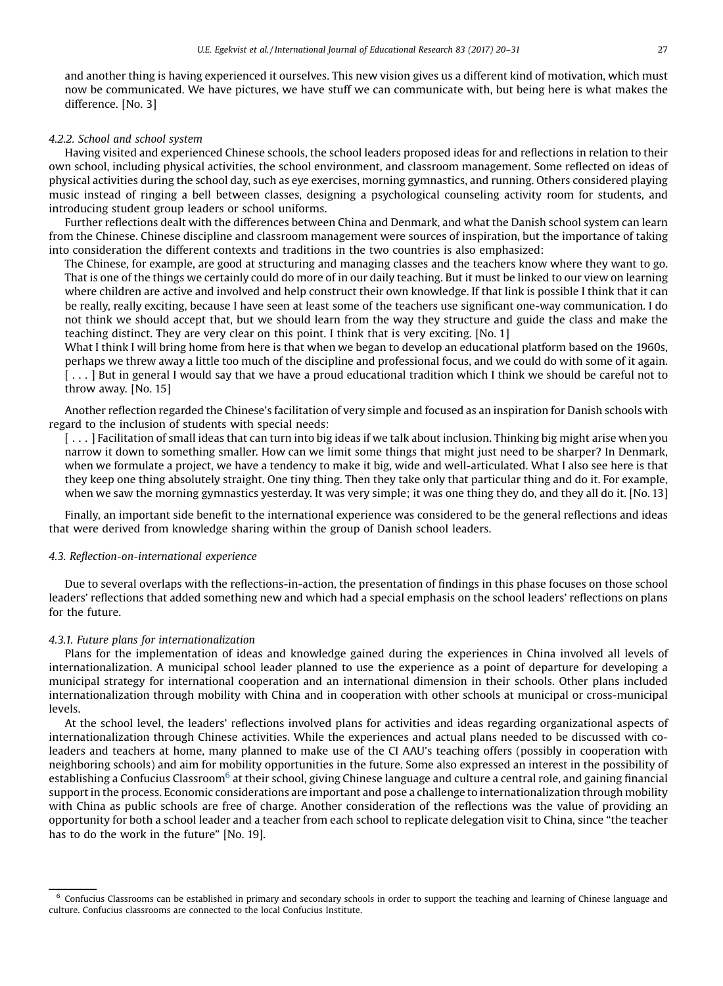and another thing is having experienced it ourselves. This new vision gives us a different kind of motivation, which must now be communicated. We have pictures, we have stuff we can communicate with, but being here is what makes the difference. [No. 3]

# 4.2.2. School and school system

Having visited and experienced Chinese schools, the school leaders proposed ideas for and reflections in relation to their own school, including physical activities, the school environment, and classroom management. Some reflected on ideas of physical activities during the school day, such as eye exercises, morning gymnastics, and running. Others considered playing music instead of ringing a bell between classes, designing a psychological counseling activity room for students, and introducing student group leaders or school uniforms.

Further reflections dealt with the differences between China and Denmark, and what the Danish school system can learn from the Chinese. Chinese discipline and classroom management were sources of inspiration, but the importance of taking into consideration the different contexts and traditions in the two countries is also emphasized:

The Chinese, for example, are good at structuring and managing classes and the teachers know where they want to go. That is one of the things we certainly could do more of in our daily teaching. But it must be linked to our view on learning where children are active and involved and help construct their own knowledge. If that link is possible I think that it can be really, really exciting, because I have seen at least some of the teachers use significant one-way communication. I do not think we should accept that, but we should learn from the way they structure and guide the class and make the teaching distinct. They are very clear on this point. I think that is very exciting. [No. 1]

What I think I will bring home from here is that when we began to develop an educational platform based on the 1960s, perhaps we threw away a little too much of the discipline and professional focus, and we could do with some of it again. [ . . . ] But in general I would say that we have a proud educational tradition which I think we should be careful not to throw away. [No. 15]

Another reflection regarded the Chinese's facilitation of very simple and focused as an inspiration for Danish schools with regard to the inclusion of students with special needs:

[...] Facilitation of small ideas that can turn into big ideas if we talk about inclusion. Thinking big might arise when you narrow it down to something smaller. How can we limit some things that might just need to be sharper? In Denmark, when we formulate a project, we have a tendency to make it big, wide and well-articulated. What I also see here is that they keep one thing absolutely straight. One tiny thing. Then they take only that particular thing and do it. For example, when we saw the morning gymnastics yesterday. It was very simple; it was one thing they do, and they all do it. [No. 13]

Finally, an important side benefit to the international experience was considered to be the general reflections and ideas that were derived from knowledge sharing within the group of Danish school leaders.

# 4.3. Reflection-on-international experience

Due to several overlaps with the reflections-in-action, the presentation of findings in this phase focuses on those school leaders' reflections that added something new and which had a special emphasis on the school leaders' reflections on plans for the future.

# 4.3.1. Future plans for internationalization

Plans for the implementation of ideas and knowledge gained during the experiences in China involved all levels of internationalization. A municipal school leader planned to use the experience as a point of departure for developing a municipal strategy for international cooperation and an international dimension in their schools. Other plans included internationalization through mobility with China and in cooperation with other schools at municipal or cross-municipal levels.

At the school level, the leaders' reflections involved plans for activities and ideas regarding organizational aspects of internationalization through Chinese activities. While the experiences and actual plans needed to be discussed with coleaders and teachers at home, many planned to make use of the CI AAU's teaching offers (possibly in cooperation with neighboring schools) and aim for mobility opportunities in the future. Some also expressed an interest in the possibility of establishing a Confucius Classroom<sup>6</sup> at their school, giving Chinese language and culture a central role, and gaining financial supportin the process. Economic considerations are important and pose a challenge to internationalization through mobility with China as public schools are free of charge. Another consideration of the reflections was the value of providing an opportunity for both a school leader and a teacher from each school to replicate delegation visit to China, since "the teacher has to do the work in the future" [No. 19].

 $6$  Confucius Classrooms can be established in primary and secondary schools in order to support the teaching and learning of Chinese language and culture. Confucius classrooms are connected to the local Confucius Institute.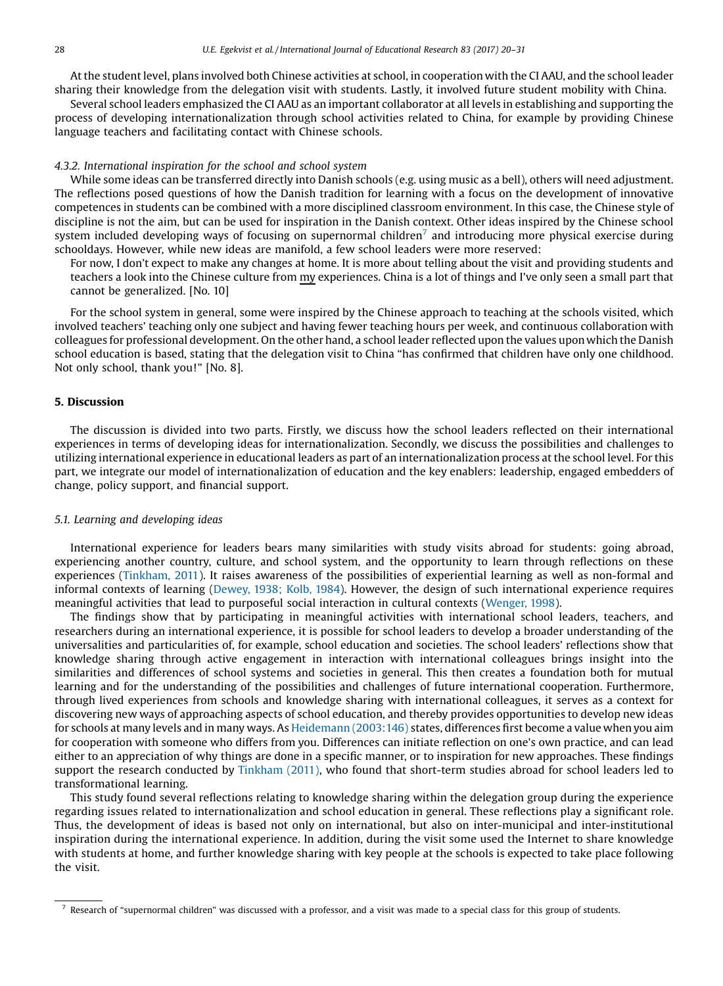Atthe student level, plans involved both Chinese activities at school, in cooperation with the CI AAU, and the school leader sharing their knowledge from the delegation visit with students. Lastly, it involved future student mobility with China.

Several school leaders emphasized the CI AAU as an important collaborator at all levels in establishing and supporting the process of developing internationalization through school activities related to China, for example by providing Chinese language teachers and facilitating contact with Chinese schools.

#### 4.3.2. International inspiration for the school and school system

While some ideas can be transferred directly into Danish schools (e.g. using music as a bell), others will need adjustment. The reflections posed questions of how the Danish tradition for learning with a focus on the development of innovative competences in students can be combined with a more disciplined classroom environment. In this case, the Chinese style of discipline is not the aim, but can be used for inspiration in the Danish context. Other ideas inspired by the Chinese school system included developing ways of focusing on supernormal children<sup>7</sup> and introducing more physical exercise during schooldays. However, while new ideas are manifold, a few school leaders were more reserved:

For now, I don't expect to make any changes at home. It is more about telling about the visit and providing students and teachers a look into the Chinese culture from my experiences. China is a lot of things and I've only seen a small part that cannot be generalized. [No. 10]

For the school system in general, some were inspired by the Chinese approach to teaching at the schools visited, which involved teachers' teaching only one subject and having fewer teaching hours per week, and continuous collaboration with colleagues for professional development. On the other hand, a school leader reflected upon the values upon which the Danish school education is based, stating that the delegation visit to China "has confirmed that children have only one childhood. Not only school, thank you!" [No. 8].

# 5. Discussion

The discussion is divided into two parts. Firstly, we discuss how the school leaders reflected on their international experiences in terms of developing ideas for internationalization. Secondly, we discuss the possibilities and challenges to utilizing international experience in educational leaders as part of an internationalization process at the school level. For this part, we integrate our model of internationalization of education and the key enablers: leadership, engaged embedders of change, policy support, and financial support.

# 5.1. Learning and developing ideas

International experience for leaders bears many similarities with study visits abroad for students: going abroad, experiencing another country, culture, and school system, and the opportunity to learn through reflections on these experiences ([Tinkham,](#page-12-0) 2011). It raises awareness of the possibilities of experiential learning as well as non-formal and informal contexts of learning ([Dewey,](#page-11-0) 1938; Kolb, 1984). However, the design of such international experience requires meaningful activities that lead to purposeful social interaction in cultural contexts ([Wenger,](#page-12-0) 1998).

The findings show that by participating in meaningful activities with international school leaders, teachers, and researchers during an international experience, it is possible for school leaders to develop a broader understanding of the universalities and particularities of, for example, school education and societies. The school leaders' reflections show that knowledge sharing through active engagement in interaction with international colleagues brings insight into the similarities and differences of school systems and societies in general. This then creates a foundation both for mutual learning and for the understanding of the possibilities and challenges of future international cooperation. Furthermore, through lived experiences from schools and knowledge sharing with international colleagues, it serves as a context for discovering new ways of approaching aspects of school education, and thereby provides opportunities to develop new ideas for schools at many levels and in many ways. As [Heidemann](#page-11-0) (2003:146) states, differences first become a value when you aim for cooperation with someone who differs from you. Differences can initiate reflection on one's own practice, and can lead either to an appreciation of why things are done in a specific manner, or to inspiration for new approaches. These findings support the research conducted by [Tinkham](#page-12-0) (2011), who found that short-term studies abroad for school leaders led to transformational learning.

This study found several reflections relating to knowledge sharing within the delegation group during the experience regarding issues related to internationalization and school education in general. These reflections play a significant role. Thus, the development of ideas is based not only on international, but also on inter-municipal and inter-institutional inspiration during the international experience. In addition, during the visit some used the Internet to share knowledge with students at home, and further knowledge sharing with key people at the schools is expected to take place following the visit.

 $7$  Research of "supernormal children" was discussed with a professor, and a visit was made to a special class for this group of students.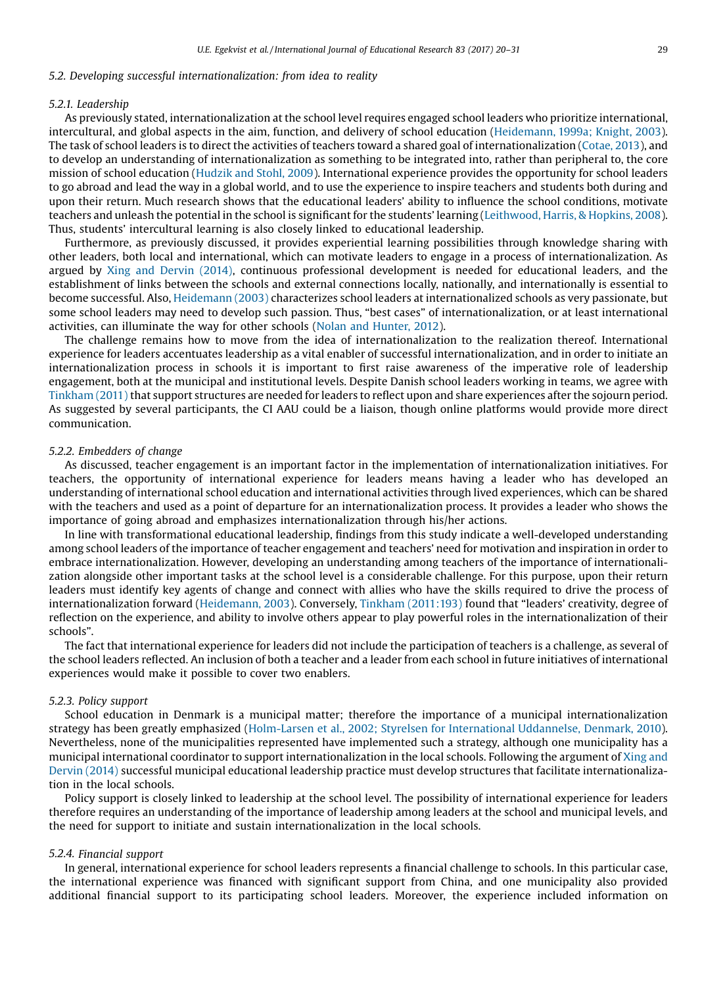# 5.2. Developing successful internationalization: from idea to reality

#### 5.2.1. Leadership

As previously stated, internationalization at the school level requires engaged school leaders who prioritize international, intercultural, and global aspects in the aim, function, and delivery of school education [\(Heidemann,](#page-11-0) 1999a; Knight, 2003). The task of school leaders is to direct the activities of teachers toward a shared goal of internationalization ([Cotae,](#page-11-0) 2013), and to develop an understanding of internationalization as something to be integrated into, rather than peripheral to, the core mission of school education ([Hudzik](#page-12-0) and Stohl, 2009). International experience provides the opportunity for school leaders to go abroad and lead the way in a global world, and to use the experience to inspire teachers and students both during and upon their return. Much research shows that the educational leaders' ability to influence the school conditions, motivate teachers and unleash the potential in the school is significant for the students' learning ([Leithwood,](#page-12-0) Harris, & Hopkins, 2008). Thus, students' intercultural learning is also closely linked to educational leadership.

Furthermore, as previously discussed, it provides experiential learning possibilities through knowledge sharing with other leaders, both local and international, which can motivate leaders to engage in a process of internationalization. As argued by Xing and [Dervin](#page-12-0) (2014), continuous professional development is needed for educational leaders, and the establishment of links between the schools and external connections locally, nationally, and internationally is essential to become successful. Also, [Heidemann](#page-11-0) (2003) characterizes school leaders at internationalized schools as very passionate, but some school leaders may need to develop such passion. Thus, "best cases" of internationalization, or at least international activities, can illuminate the way for other schools (Nolan and [Hunter,](#page-12-0) 2012).

The challenge remains how to move from the idea of internationalization to the realization thereof. International experience for leaders accentuates leadership as a vital enabler of successful internationalization, and in order to initiate an internationalization process in schools it is important to first raise awareness of the imperative role of leadership engagement, both at the municipal and institutional levels. Despite Danish school leaders working in teams, we agree with [Tinkham](#page-12-0) (2011) that support structures are needed for leaders to reflect upon and share experiences after the sojourn period. As suggested by several participants, the CI AAU could be a liaison, though online platforms would provide more direct communication.

# 5.2.2. Embedders of change

As discussed, teacher engagement is an important factor in the implementation of internationalization initiatives. For teachers, the opportunity of international experience for leaders means having a leader who has developed an understanding of international school education and international activities through lived experiences, which can be shared with the teachers and used as a point of departure for an internationalization process. It provides a leader who shows the importance of going abroad and emphasizes internationalization through his/her actions.

In line with transformational educational leadership, findings from this study indicate a well-developed understanding among school leaders of the importance of teacher engagement and teachers' need for motivation and inspiration in order to embrace internationalization. However, developing an understanding among teachers of the importance of internationalization alongside other important tasks at the school level is a considerable challenge. For this purpose, upon their return leaders must identify key agents of change and connect with allies who have the skills required to drive the process of internationalization forward [\(Heidemann,](#page-11-0) 2003). Conversely, Tinkham [\(2011:193\)](#page-12-0) found that "leaders' creativity, degree of reflection on the experience, and ability to involve others appear to play powerful roles in the internationalization of their schools".

The fact that international experience for leaders did not include the participation of teachers is a challenge, as several of the school leaders reflected. An inclusion of both a teacher and a leader from each school in future initiatives of international experiences would make it possible to cover two enablers.

#### 5.2.3. Policy support

School education in Denmark is a municipal matter; therefore the importance of a municipal internationalization strategy has been greatly emphasized (Holm-Larsen et al., 2002; Styrelsen for [International](#page-12-0) Uddannelse, Denmark, 2010). Nevertheless, none of the municipalities represented have implemented such a strategy, although one municipality has a municipal international coordinator to support internationalization in the local schools. Following the argument of [Xing](#page-12-0) and [Dervin](#page-12-0) (2014) successful municipal educational leadership practice must develop structures that facilitate internationalization in the local schools.

Policy support is closely linked to leadership at the school level. The possibility of international experience for leaders therefore requires an understanding of the importance of leadership among leaders at the school and municipal levels, and the need for support to initiate and sustain internationalization in the local schools.

# 5.2.4. Financial support

In general, international experience for school leaders represents a financial challenge to schools. In this particular case, the international experience was financed with significant support from China, and one municipality also provided additional financial support to its participating school leaders. Moreover, the experience included information on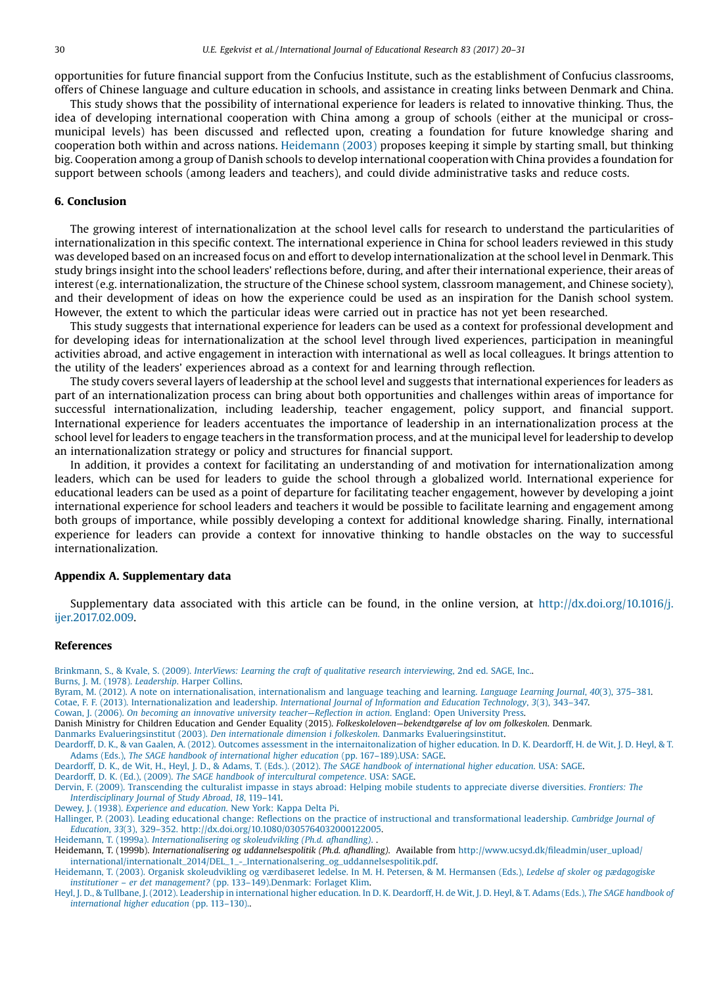<span id="page-11-0"></span>opportunities for future financial support from the Confucius Institute, such as the establishment of Confucius classrooms, offers of Chinese language and culture education in schools, and assistance in creating links between Denmark and China.

This study shows that the possibility of international experience for leaders is related to innovative thinking. Thus, the idea of developing international cooperation with China among a group of schools (either at the municipal or crossmunicipal levels) has been discussed and reflected upon, creating a foundation for future knowledge sharing and cooperation both within and across nations. Heidemann (2003) proposes keeping it simple by starting small, but thinking big. Cooperation among a group of Danish schools to develop international cooperation with China provides a foundation for support between schools (among leaders and teachers), and could divide administrative tasks and reduce costs.

# 6. Conclusion

The growing interest of internationalization at the school level calls for research to understand the particularities of internationalization in this specific context. The international experience in China for school leaders reviewed in this study was developed based on an increased focus on and effort to develop internationalization at the school level in Denmark. This study brings insight into the school leaders' reflections before, during, and after their international experience, their areas of interest (e.g. internationalization, the structure of the Chinese school system, classroom management, and Chinese society), and their development of ideas on how the experience could be used as an inspiration for the Danish school system. However, the extent to which the particular ideas were carried out in practice has not yet been researched.

This study suggests that international experience for leaders can be used as a context for professional development and for developing ideas for internationalization at the school level through lived experiences, participation in meaningful activities abroad, and active engagement in interaction with international as well as local colleagues. It brings attention to the utility of the leaders' experiences abroad as a context for and learning through reflection.

The study covers several layers of leadership at the school level and suggests that international experiences for leaders as part of an internationalization process can bring about both opportunities and challenges within areas of importance for successful internationalization, including leadership, teacher engagement, policy support, and financial support. International experience for leaders accentuates the importance of leadership in an internationalization process at the school level for leaders to engage teachers in the transformation process, and at the municipal level for leadership to develop an internationalization strategy or policy and structures for financial support.

In addition, it provides a context for facilitating an understanding of and motivation for internationalization among leaders, which can be used for leaders to guide the school through a globalized world. International experience for educational leaders can be used as a point of departure for facilitating teacher engagement, however by developing a joint international experience for school leaders and teachers it would be possible to facilitate learning and engagement among both groups of importance, while possibly developing a context for additional knowledge sharing. Finally, international experience for leaders can provide a context for innovative thinking to handle obstacles on the way to successful internationalization.

# Appendix A. Supplementary data

Supplementary data associated with this article can be found, in the online version, at [http://dx.doi.org/10.1016/j.](http://dx.doi.org/10.1016/j.ijer.2017.02.009) [ijer.2017.02.009.](http://dx.doi.org/10.1016/j.ijer.2017.02.009)

#### References

Brinkmann, S., & Kvale, S. (2009). InterViews: Learning the craft of qualitative research [interviewing](http://refhub.elsevier.com/S0883-0355(16)31297-6/sbref0005), 2nd ed. SAGE, Inc..

Burns, J. M. (1978). [Leadership](http://refhub.elsevier.com/S0883-0355(16)31297-6/sbref0010). Harper Collins.

Byram, M. (2012). A note on [internationalisation,](http://refhub.elsevier.com/S0883-0355(16)31297-6/sbref0015) internationalism and language teaching and learning. Language Learning Journal, 40(3), 375-381.

Cotae, F. F. (2013). [Internationalization](http://refhub.elsevier.com/S0883-0355(16)31297-6/sbref0020) and leadership. International Journal of Information and Education Technology, 3(3), 343–347.

Cowan, J. (2006). On becoming an innovative university [teacher—Reflection](http://refhub.elsevier.com/S0883-0355(16)31297-6/sbref0025) in action. England: Open University Press.

- Danish Ministry for Children Education and Gender Equality (2015). Folkeskoleloven—bekendtgørelse af lov om folkeskolen. Denmark.
- Danmarks [Evalueringsinstitut](http://refhub.elsevier.com/S0883-0355(16)31297-6/sbref0035) (2003). Den internationale dimension i folkeskolen. Danmarks Evalueringsinstitut. Deardorff, D. K., & van Gaalen, A. (2012). Outcomes assessment in the [internaitonalization](http://refhub.elsevier.com/S0883-0355(16)31297-6/sbref0040) of higher education. In D. K. Deardorff, H. de Wit, J. D. Heyl, & T. Adams (Eds.), The SAGE handbook of [international](http://refhub.elsevier.com/S0883-0355(16)31297-6/sbref0040) higher education (pp. 167–189).USA: SAGE.

Deardorff, D. K., de Wit, H., Heyl, J. D., & Adams, T. (Eds.). (2012). The SAGE handbook of [international](http://refhub.elsevier.com/S0883-0355(16)31297-6/sbref0045) higher education. USA: SAGE.

Deardorff, D. K. (Ed.), (2009). The SAGE handbook of [intercultural](http://refhub.elsevier.com/S0883-0355(16)31297-6/sbref0050) competence. USA: SAGE.

Dervin, F. (2009). [Transcending](http://refhub.elsevier.com/S0883-0355(16)31297-6/sbref0055) the culturalist impasse in stays abroad: Helping mobile students to appreciate diverse diversities. Frontiers: The [Interdisciplinary](http://refhub.elsevier.com/S0883-0355(16)31297-6/sbref0055) Journal of Study Abroad, 18, 119–141.

Dewey, J. (1938). [Experience](http://refhub.elsevier.com/S0883-0355(16)31297-6/sbref0060) and education. New York: Kappa Delta Pi.

Hallinger, P. (2003). Leading educational change: Reflections on the practice of instructional and [transformational](http://refhub.elsevier.com/S0883-0355(16)31297-6/sbref0065) leadership. Cambridge Journal of Education, 33(3), 329–352. [http://dx.doi.org/10.1080/0305764032000122005.](http://refhub.elsevier.com/S0883-0355(16)31297-6/sbref0065)

Heidemann, T. (1999a). [Internationalisering](http://refhub.elsevier.com/S0883-0355(16)31297-6/sbref0070) og skoleudvikling (Ph.d. afhandling). .

Heidemann, T. (1999b). Internationalisering og uddannelsespolitik (Ph.d. afhandling). Available from [http://www.ucsyd.dk/](http://www.ucsyd.dk/fileadmin/user_upload/international/internationalt_2014/DEL_1_-_Internationalsering_og_uddannelsespolitik.pdf)fileadmin/user\_upload/ [international/internationalt\\_2014/DEL\\_1\\_-\\_Internationalsering\\_og\\_uddannelsespolitik.pdf](http://www.ucsyd.dk/fileadmin/user_upload/international/internationalt_2014/DEL_1_-_Internationalsering_og_uddannelsespolitik.pdf).

Heidemann, T. (2003). Organisk [skoleudvikling](http://refhub.elsevier.com/S0883-0355(16)31297-6/sbref0080) og værdibaseret ledelse. In M. H. Petersen, & M. Hermansen (Eds.), Ledelse af skoler og pædagogiske institutioner – er det management? (pp. 133–[149\).Denmark:](http://refhub.elsevier.com/S0883-0355(16)31297-6/sbref0080) Forlaget Klim.

Heyl, J. D., & Tullbane, J. (2012). Leadership in [international](http://refhub.elsevier.com/S0883-0355(16)31297-6/sbref0085) higher education. In D. K. Deardorff, H. de Wit, J. D. Heyl, & T. Adams (Eds.), The SAGE handbook of [international](http://refhub.elsevier.com/S0883-0355(16)31297-6/sbref0085) higher education (pp. 113–130)..